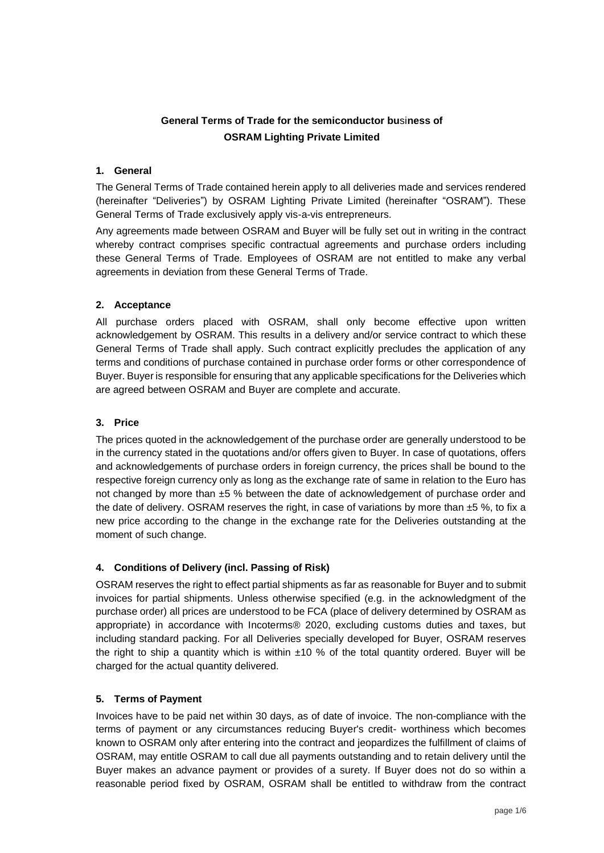# **General Terms of Trade for the semiconductor bu**si**ness of OSRAM Lighting Private Limited**

### **1. General**

The General Terms of Trade contained herein apply to all deliveries made and services rendered (hereinafter "Deliveries") by OSRAM Lighting Private Limited (hereinafter "OSRAM"). These General Terms of Trade exclusively apply vis-a-vis entrepreneurs.

Any agreements made between OSRAM and Buyer will be fully set out in writing in the contract whereby contract comprises specific contractual agreements and purchase orders including these General Terms of Trade. Employees of OSRAM are not entitled to make any verbal agreements in deviation from these General Terms of Trade.

### **2. Acceptance**

All purchase orders placed with OSRAM, shall only become effective upon written acknowledgement by OSRAM. This results in a delivery and/or service contract to which these General Terms of Trade shall apply. Such contract explicitly precludes the application of any terms and conditions of purchase contained in purchase order forms or other correspondence of Buyer. Buyer is responsible for ensuring that any applicable specifications for the Deliveries which are agreed between OSRAM and Buyer are complete and accurate.

## **3. Price**

The prices quoted in the acknowledgement of the purchase order are generally understood to be in the currency stated in the quotations and/or offers given to Buyer. In case of quotations, offers and acknowledgements of purchase orders in foreign currency, the prices shall be bound to the respective foreign currency only as long as the exchange rate of same in relation to the Euro has not changed by more than ±5 % between the date of acknowledgement of purchase order and the date of delivery. OSRAM reserves the right, in case of variations by more than  $±5$  %, to fix a new price according to the change in the exchange rate for the Deliveries outstanding at the moment of such change.

# **4. Conditions of Delivery (incl. Passing of Risk)**

OSRAM reserves the right to effect partial shipments as far as reasonable for Buyer and to submit invoices for partial shipments. Unless otherwise specified (e.g. in the acknowledgment of the purchase order) all prices are understood to be FCA (place of delivery determined by OSRAM as appropriate) in accordance with Incoterms® 2020, excluding customs duties and taxes, but including standard packing. For all Deliveries specially developed for Buyer, OSRAM reserves the right to ship a quantity which is within  $\pm 10$  % of the total quantity ordered. Buyer will be charged for the actual quantity delivered.

### **5. Terms of Payment**

Invoices have to be paid net within 30 days, as of date of invoice. The non-compliance with the terms of payment or any circumstances reducing Buyer's credit- worthiness which becomes known to OSRAM only after entering into the contract and jeopardizes the fulfillment of claims of OSRAM, may entitle OSRAM to call due all payments outstanding and to retain delivery until the Buyer makes an advance payment or provides of a surety. If Buyer does not do so within a reasonable period fixed by OSRAM, OSRAM shall be entitled to withdraw from the contract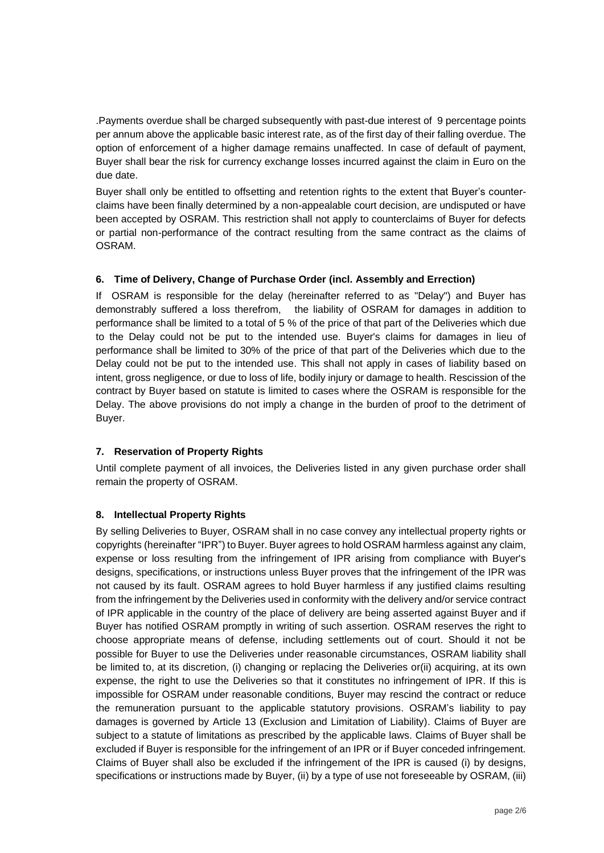.Payments overdue shall be charged subsequently with past-due interest of 9 percentage points per annum above the applicable basic interest rate, as of the first day of their falling overdue. The option of enforcement of a higher damage remains unaffected. In case of default of payment, Buyer shall bear the risk for currency exchange losses incurred against the claim in Euro on the due date.

Buyer shall only be entitled to offsetting and retention rights to the extent that Buyer's counterclaims have been finally determined by a non-appealable court decision, are undisputed or have been accepted by OSRAM. This restriction shall not apply to counterclaims of Buyer for defects or partial non-performance of the contract resulting from the same contract as the claims of OSRAM.

### **6. Time of Delivery, Change of Purchase Order (incl. Assembly and Errection)**

If OSRAM is responsible for the delay (hereinafter referred to as "Delay") and Buyer has demonstrably suffered a loss therefrom, the liability of OSRAM for damages in addition to performance shall be limited to a total of 5 % of the price of that part of the Deliveries which due to the Delay could not be put to the intended use. Buyer's claims for damages in lieu of performance shall be limited to 30% of the price of that part of the Deliveries which due to the Delay could not be put to the intended use. This shall not apply in cases of liability based on intent, gross negligence, or due to loss of life, bodily injury or damage to health. Rescission of the contract by Buyer based on statute is limited to cases where the OSRAM is responsible for the Delay. The above provisions do not imply a change in the burden of proof to the detriment of Buyer.

### **7. Reservation of Property Rights**

Until complete payment of all invoices, the Deliveries listed in any given purchase order shall remain the property of OSRAM.

### **8. Intellectual Property Rights**

By selling Deliveries to Buyer, OSRAM shall in no case convey any intellectual property rights or copyrights (hereinafter "IPR") to Buyer. Buyer agrees to hold OSRAM harmless against any claim, expense or loss resulting from the infringement of IPR arising from compliance with Buyer's designs, specifications, or instructions unless Buyer proves that the infringement of the IPR was not caused by its fault. OSRAM agrees to hold Buyer harmless if any justified claims resulting from the infringement by the Deliveries used in conformity with the delivery and/or service contract of IPR applicable in the country of the place of delivery are being asserted against Buyer and if Buyer has notified OSRAM promptly in writing of such assertion. OSRAM reserves the right to choose appropriate means of defense, including settlements out of court. Should it not be possible for Buyer to use the Deliveries under reasonable circumstances, OSRAM liability shall be limited to, at its discretion, (i) changing or replacing the Deliveries or(ii) acquiring, at its own expense, the right to use the Deliveries so that it constitutes no infringement of IPR. If this is impossible for OSRAM under reasonable conditions, Buyer may rescind the contract or reduce the remuneration pursuant to the applicable statutory provisions. OSRAM's liability to pay damages is governed by Article 13 (Exclusion and Limitation of Liability). Claims of Buyer are subject to a statute of limitations as prescribed by the applicable laws. Claims of Buyer shall be excluded if Buyer is responsible for the infringement of an IPR or if Buyer conceded infringement. Claims of Buyer shall also be excluded if the infringement of the IPR is caused (i) by designs, specifications or instructions made by Buyer, (ii) by a type of use not foreseeable by OSRAM, (iii)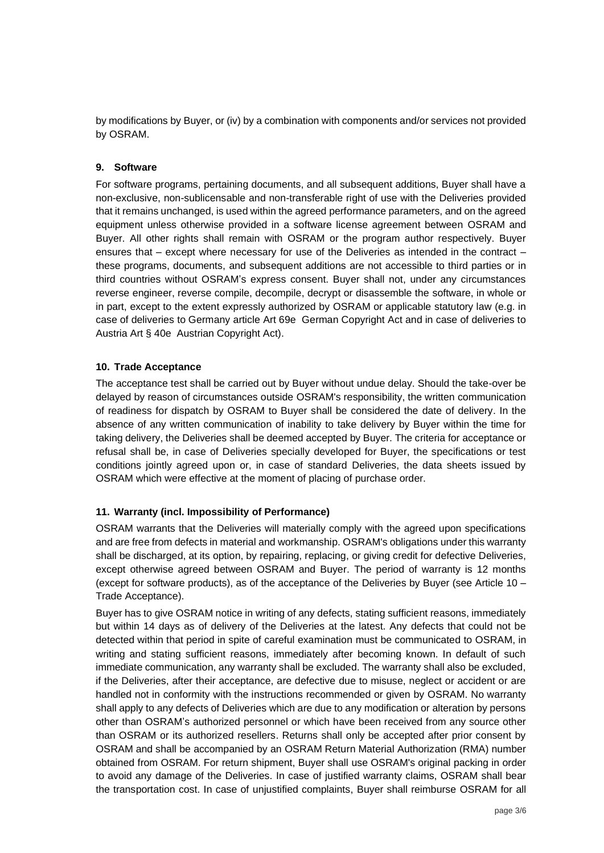by modifications by Buyer, or (iv) by a combination with components and/or services not provided by OSRAM.

### **9. Software**

For software programs, pertaining documents, and all subsequent additions, Buyer shall have a non-exclusive, non-sublicensable and non-transferable right of use with the Deliveries provided that it remains unchanged, is used within the agreed performance parameters, and on the agreed equipment unless otherwise provided in a software license agreement between OSRAM and Buyer. All other rights shall remain with OSRAM or the program author respectively. Buyer ensures that – except where necessary for use of the Deliveries as intended in the contract – these programs, documents, and subsequent additions are not accessible to third parties or in third countries without OSRAM's express consent. Buyer shall not, under any circumstances reverse engineer, reverse compile, decompile, decrypt or disassemble the software, in whole or in part, except to the extent expressly authorized by OSRAM or applicable statutory law (e.g. in case of deliveries to Germany article Art 69e German Copyright Act and in case of deliveries to Austria Art § 40e Austrian Copyright Act).

### **10. Trade Acceptance**

The acceptance test shall be carried out by Buyer without undue delay. Should the take-over be delayed by reason of circumstances outside OSRAM's responsibility, the written communication of readiness for dispatch by OSRAM to Buyer shall be considered the date of delivery. In the absence of any written communication of inability to take delivery by Buyer within the time for taking delivery, the Deliveries shall be deemed accepted by Buyer. The criteria for acceptance or refusal shall be, in case of Deliveries specially developed for Buyer, the specifications or test conditions jointly agreed upon or, in case of standard Deliveries, the data sheets issued by OSRAM which were effective at the moment of placing of purchase order.

# **11. Warranty (incl. Impossibility of Performance)**

OSRAM warrants that the Deliveries will materially comply with the agreed upon specifications and are free from defects in material and workmanship. OSRAM's obligations under this warranty shall be discharged, at its option, by repairing, replacing, or giving credit for defective Deliveries, except otherwise agreed between OSRAM and Buyer. The period of warranty is 12 months (except for software products), as of the acceptance of the Deliveries by Buyer (see Article 10 – Trade Acceptance).

Buyer has to give OSRAM notice in writing of any defects, stating sufficient reasons, immediately but within 14 days as of delivery of the Deliveries at the latest. Any defects that could not be detected within that period in spite of careful examination must be communicated to OSRAM, in writing and stating sufficient reasons, immediately after becoming known. In default of such immediate communication, any warranty shall be excluded. The warranty shall also be excluded, if the Deliveries, after their acceptance, are defective due to misuse, neglect or accident or are handled not in conformity with the instructions recommended or given by OSRAM. No warranty shall apply to any defects of Deliveries which are due to any modification or alteration by persons other than OSRAM's authorized personnel or which have been received from any source other than OSRAM or its authorized resellers. Returns shall only be accepted after prior consent by OSRAM and shall be accompanied by an OSRAM Return Material Authorization (RMA) number obtained from OSRAM. For return shipment, Buyer shall use OSRAM's original packing in order to avoid any damage of the Deliveries. In case of justified warranty claims, OSRAM shall bear the transportation cost. In case of unjustified complaints, Buyer shall reimburse OSRAM for all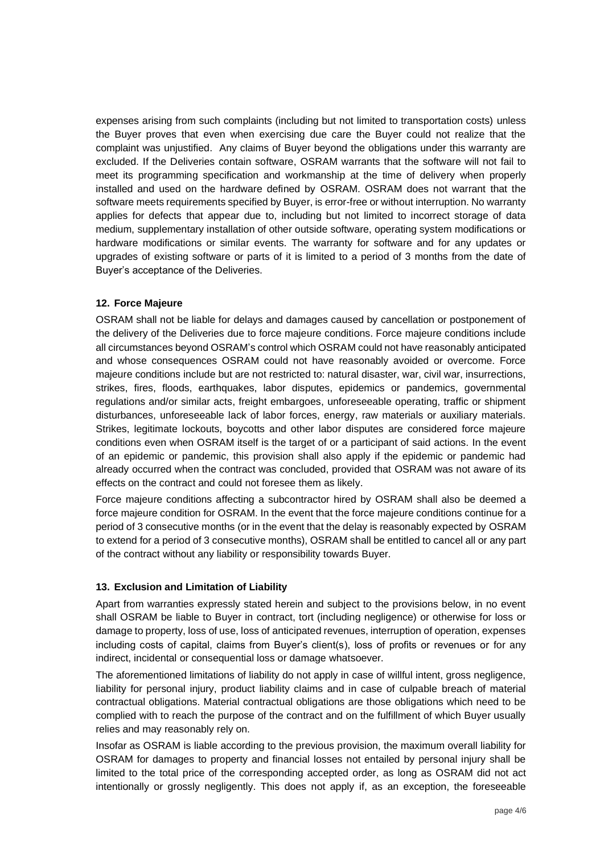expenses arising from such complaints (including but not limited to transportation costs) unless the Buyer proves that even when exercising due care the Buyer could not realize that the complaint was unjustified. Any claims of Buyer beyond the obligations under this warranty are excluded. If the Deliveries contain software, OSRAM warrants that the software will not fail to meet its programming specification and workmanship at the time of delivery when properly installed and used on the hardware defined by OSRAM. OSRAM does not warrant that the software meets requirements specified by Buyer, is error-free or without interruption. No warranty applies for defects that appear due to, including but not limited to incorrect storage of data medium, supplementary installation of other outside software, operating system modifications or hardware modifications or similar events. The warranty for software and for any updates or upgrades of existing software or parts of it is limited to a period of 3 months from the date of Buyer's acceptance of the Deliveries.

### **12. Force Majeure**

OSRAM shall not be liable for delays and damages caused by cancellation or postponement of the delivery of the Deliveries due to force majeure conditions. Force majeure conditions include all circumstances beyond OSRAM's control which OSRAM could not have reasonably anticipated and whose consequences OSRAM could not have reasonably avoided or overcome. Force majeure conditions include but are not restricted to: natural disaster, war, civil war, insurrections, strikes, fires, floods, earthquakes, labor disputes, epidemics or pandemics, governmental regulations and/or similar acts, freight embargoes, unforeseeable operating, traffic or shipment disturbances, unforeseeable lack of labor forces, energy, raw materials or auxiliary materials. Strikes, legitimate lockouts, boycotts and other labor disputes are considered force majeure conditions even when OSRAM itself is the target of or a participant of said actions. In the event of an epidemic or pandemic, this provision shall also apply if the epidemic or pandemic had already occurred when the contract was concluded, provided that OSRAM was not aware of its effects on the contract and could not foresee them as likely.

Force majeure conditions affecting a subcontractor hired by OSRAM shall also be deemed a force majeure condition for OSRAM. In the event that the force majeure conditions continue for a period of 3 consecutive months (or in the event that the delay is reasonably expected by OSRAM to extend for a period of 3 consecutive months), OSRAM shall be entitled to cancel all or any part of the contract without any liability or responsibility towards Buyer.

### **13. Exclusion and Limitation of Liability**

Apart from warranties expressly stated herein and subject to the provisions below, in no event shall OSRAM be liable to Buyer in contract, tort (including negligence) or otherwise for loss or damage to property, loss of use, loss of anticipated revenues, interruption of operation, expenses including costs of capital, claims from Buyer's client(s), loss of profits or revenues or for any indirect, incidental or consequential loss or damage whatsoever.

The aforementioned limitations of liability do not apply in case of willful intent, gross negligence, liability for personal injury, product liability claims and in case of culpable breach of material contractual obligations. Material contractual obligations are those obligations which need to be complied with to reach the purpose of the contract and on the fulfillment of which Buyer usually relies and may reasonably rely on.

Insofar as OSRAM is liable according to the previous provision, the maximum overall liability for OSRAM for damages to property and financial losses not entailed by personal injury shall be limited to the total price of the corresponding accepted order, as long as OSRAM did not act intentionally or grossly negligently. This does not apply if, as an exception, the foreseeable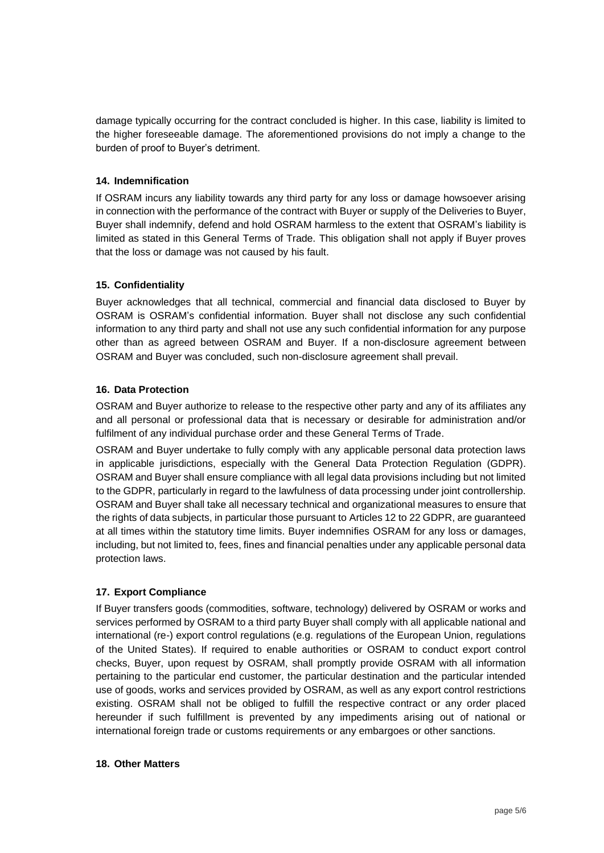damage typically occurring for the contract concluded is higher. In this case, liability is limited to the higher foreseeable damage. The aforementioned provisions do not imply a change to the burden of proof to Buyer's detriment.

### **14. Indemnification**

If OSRAM incurs any liability towards any third party for any loss or damage howsoever arising in connection with the performance of the contract with Buyer or supply of the Deliveries to Buyer, Buyer shall indemnify, defend and hold OSRAM harmless to the extent that OSRAM's liability is limited as stated in this General Terms of Trade. This obligation shall not apply if Buyer proves that the loss or damage was not caused by his fault.

### **15. Confidentiality**

Buyer acknowledges that all technical, commercial and financial data disclosed to Buyer by OSRAM is OSRAM's confidential information. Buyer shall not disclose any such confidential information to any third party and shall not use any such confidential information for any purpose other than as agreed between OSRAM and Buyer. If a non-disclosure agreement between OSRAM and Buyer was concluded, such non-disclosure agreement shall prevail.

### **16. Data Protection**

OSRAM and Buyer authorize to release to the respective other party and any of its affiliates any and all personal or professional data that is necessary or desirable for administration and/or fulfilment of any individual purchase order and these General Terms of Trade.

OSRAM and Buyer undertake to fully comply with any applicable personal data protection laws in applicable jurisdictions, especially with the General Data Protection Regulation (GDPR). OSRAM and Buyer shall ensure compliance with all legal data provisions including but not limited to the GDPR, particularly in regard to the lawfulness of data processing under joint controllership. OSRAM and Buyer shall take all necessary technical and organizational measures to ensure that the rights of data subjects, in particular those pursuant to Articles 12 to 22 GDPR, are guaranteed at all times within the statutory time limits. Buyer indemnifies OSRAM for any loss or damages, including, but not limited to, fees, fines and financial penalties under any applicable personal data protection laws.

# **17. Export Compliance**

If Buyer transfers goods (commodities, software, technology) delivered by OSRAM or works and services performed by OSRAM to a third party Buyer shall comply with all applicable national and international (re-) export control regulations (e.g. regulations of the European Union, regulations of the United States). If required to enable authorities or OSRAM to conduct export control checks, Buyer, upon request by OSRAM, shall promptly provide OSRAM with all information pertaining to the particular end customer, the particular destination and the particular intended use of goods, works and services provided by OSRAM, as well as any export control restrictions existing. OSRAM shall not be obliged to fulfill the respective contract or any order placed hereunder if such fulfillment is prevented by any impediments arising out of national or international foreign trade or customs requirements or any embargoes or other sanctions.

### **18. Other Matters**